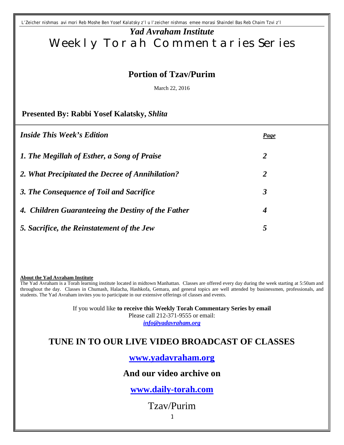*L'Zeicher nishmas avi mori Reb Moshe Ben Yosef Kalatsky z'l u l'zeicher nishmas emee morasi Shaindel Bas Reb Chaim Tzvi z'l*

# *Yad Avraham Institute* Weekly Torah Commentaries Series

### **Portion of Tzav/Purim**

March 22, 2016

#### **Presented By: Rabbi Yosef Kalatsky,** *Shlita*

| <i><b>Inside This Week's Edition</b></i>           | <b>Page</b>    |
|----------------------------------------------------|----------------|
| 1. The Megillah of Esther, a Song of Praise        | $\overline{2}$ |
| 2. What Precipitated the Decree of Annihilation?   | 2              |
| 3. The Consequence of Toil and Sacrifice           | 3              |
| 4. Children Guaranteeing the Destiny of the Father | 4              |
| 5. Sacrifice, the Reinstatement of the Jew         | 5              |

**About the Yad Avraham Institute**

The Yad Avraham is a Torah learning institute located in midtown Manhattan. Classes are offered every day during the week starting at 5:50am and throughout the day. Classes in Chumash, Halacha, Hashkofa, Gemara, and general topics are well attended by businessmen, professionals, and students. The Yad Avraham invites you to participate in our extensive offerings of classes and events.

If you would like **to receive this Weekly Torah Commentary Series by email**

Please call 212-371-9555 or email:

*info@yadavraham.org*

## **TUNE IN TO OUR LIVE VIDEO BROADCAST OF CLASSES**

**[www.yadavraham.org](http://www.yadavraham.org/)**

### **And our video archive on**

## **[www.daily-torah.com](http://www.daily-torah.com/)**

Tzav/Purim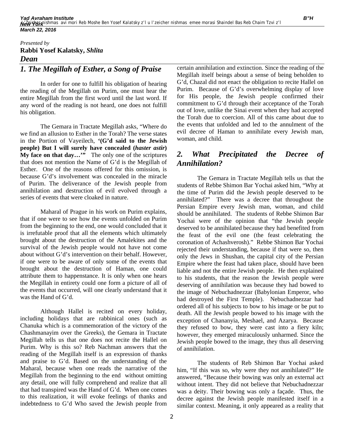#### *Presented by* **Rabbi Yosef Kalatsky,** *Shlita Dean*

#### *1. The Megillah of Esther, a Song of Praise*

In order for one to fulfill his obligation of hearing the reading of the Megillah on Purim, one must hear the entire Megillah from the first word until the last word. If any word of the reading is not heard, one does not fulfill his obligation.

The Gemara in Tractate Megillah asks, "Where do we find an allusion to Esther in the Torah? The verse states in the Portion of Vayeilech, **'(G'd said to the Jewish people) But I will surely have concealed (***haster astir***) My face on that day…'"** The only one of the scriptures that does not mention the Name of G'd is the Megillah of Esther. One of the reasons offered for this omission, is because G'd's involvement was concealed in the miracle of Purim. The deliverance of the Jewish people from annihilation and destruction of evil evolved through a series of events that were cloaked in nature.

Maharal of Prague in his work on Purim explains, that if one were to see how the events unfolded on Purim from the beginning to the end, one would concluded that it is irrefutable proof that all the elements which ultimately brought about the destruction of the Amalekites and the survival of the Jewish people would not have not come about without G'd's intervention on their behalf. However, if one were to be aware of only some of the events that brought about the destruction of Haman, one could attribute them to happenstance. It is only when one hears the Megillah in entirety could one form a picture of all of the events that occurred, will one clearly understand that it was the Hand of G'd.

Although Hallel is recited on every holiday, including holidays that are rabbinical ones (such as Chanuka which is a commemoration of the victory of the Chashmanayim over the Greeks), the Gemara in Tractate Megillah tells us that one does not recite the Hallel on Purim. Why is this so? Reb Nachman answers that the reading of the Megillah itself is an expression of thanks and praise to G'd. Based on the understanding of the Maharal, because when one reads the narrative of the Megillah from the beginning to the end without omitting any detail, one will fully comprehend and realize that all that had transpired was the Hand of G'd. When one comes to this realization, it will evoke feelings of thanks and indebtedness to G'd Who saved the Jewish people from

certain annihilation and extinction. Since the reading of the Megillah itself beings about a sense of being beholden to G'd, Chazal did not enact the obligation to recite Hallel on Purim. Because of G'd's overwhelming display of love for His people, the Jewish people confirmed their commitment to G'd through their acceptance of the Torah out of love, unlike the Sinai event when they had accepted the Torah due to coercion. All of this came about due to the events that unfolded and led to the annulment of the evil decree of Haman to annihilate every Jewish man, woman, and child.

#### *2. What Precipitated the Decree of Annihilation?*

The Gemara in Tractate Megillah tells us that the students of Rebbe Shimon Bar Yochai asked him, "Why at the time of Purim did the Jewish people deserved to be annihilated?" There was a decree that throughout the Persian Empire every Jewish man, woman, and child should be annihilated. The students of Rebbe Shimon Bar Yochai were of the opinion that "the Jewish people deserved to be annihilated because they had benefited from the feast of the evil one (the feast celebrating the coronation of Achashverosh)." Rebbe Shimon Bar Yochai rejected their understanding, because if that were so, then only the Jews in Shushan, the capital city of the Persian Empire where the feast had taken place, should have been liable and not the entire Jewish people. He then explained to his students, that the reason the Jewish people were deserving of annihilation was because they had bowed to the image of Nebuchadnezzar (Babylonian Emperor, who had destroyed the First Temple). Nebuchadnezzar had ordered all of his subjects to bow to his image or be put to death. All the Jewish people bowed to his image with the exception of Chananyia, Meshael, and Azarya. Because they refused to bow, they were cast into a fiery kiln; however, they emerged miraculously unharmed. Since the Jewish people bowed to the image, they thus all deserving of annihilation.

The students of Reb Shimon Bar Yochai asked him, "If this was so, why were they not annihilated?" He answered, "Because their bowing was only an external act without intent. They did not believe that Nebuchadnezzar was a deity. Their bowing was only a façade. Thus, the decree against the Jewish people manifested itself in a similar context. Meaning, it only appeared as a reality that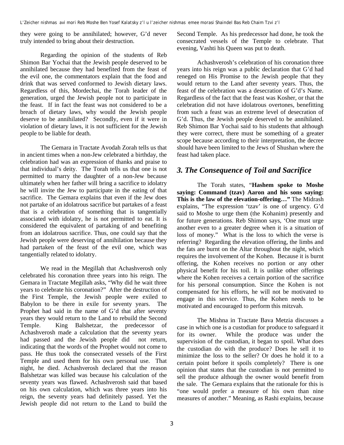they were going to be annihilated; however, G'd never truly intended to bring about their destruction.

Regarding the opinion of the students of Reb Shimon Bar Yochai that the Jewish people deserved to be annihilated because they had benefited from the feast of the evil one, the commentators explain that the food and drink that was served conformed to Jewish dietary laws. Regardless of this, Mordechai, the Torah leader of the generation, urged the Jewish people not to participate in the feast. If in fact the feast was not considered to be a breach of dietary laws, why would the Jewish people deserve to be annihilated? Secondly, even if it were in violation of dietary laws, it is not sufficient for the Jewish people to be liable for death.

The Gemara in Tractate Avodah Zorah tells us that in ancient times when a non-Jew celebrated a birthday, the celebration had was an expression of thanks and praise to that individual's deity. The Torah tells us that one is not permitted to marry the daughter of a non-Jew because ultimately when her father will bring a sacrifice to idolatry he will invite the Jew to participate in the eating of that sacrifice. The Gemara explains that even if the Jew does not partake of an idolatrous sacrifice but partakes of a feast that is a celebration of something that is tangentially associated with idolatry, he is not permitted to eat. It is considered the equivalent of partaking of and benefiting from an idolatrous sacrifice. Thus, one could say that the Jewish people were deserving of annihilation because they had partaken of the feast of the evil one, which was tangentially related to idolatry.

We read in the Megillah that Achashverosh only celebrated his coronation three years into his reign. The Gemara in Tractate Megillah asks, "Why did he wait three years to celebrate his coronation?" After the destruction of the First Temple, the Jewish people were exiled to Babylon to be there in exile for seventy years. The Prophet had said in the name of G'd that after seventy years they would return to the Land to rebuild the Second Temple. King Balshetzar, the predecessor of Achashverosh made a calculation that the seventy years had passed and the Jewish people did not return, indicating that the words of the Prophet would not come to pass. He thus took the consecrated vessels of the First Temple and used them for his own personal use. That night, he died. Achashverosh declared that the reason Balshetzar was killed was because his calculation of the seventy years was flawed. Achashverosh said that based on his own calculation, which was three years into his reign, the seventy years had definitely passed. Yet the Jewish people did not return to the Land to build the

Second Temple. As his predecessor had done, he took the consecrated vessels of the Temple to celebrate. That evening, Vashti his Queen was put to death.

Achashverosh's celebration of his coronation three years into his reign was a public declaration that G'd had reneged on His Promise to the Jewish people that they would return to the Land after seventy years. Thus, the feast of the celebration was a desecration of G'd's Name. Regardless of the fact that the feast was Kosher, or that the celebration did not have idolatrous overtones, benefitting from such a feast was an extreme level of desecration of G'd. Thus, the Jewish people deserved to be annihilated. Reb Shimon Bar Yochai said to his students that although they were correct, there must be something of a greater scope because according to their interpretation, the decree should have been limited to the Jews of Shushan where the feast had taken place.

#### *3. The Consequence of Toil and Sacrifice*

The Torah states, "**Hashem spoke to Moshe saying: Command (tzav) Aaron and his sons saying: This is the law of the elevation-offering…"** The Midrash explains, "The expression 'tzav' is one of urgency. G'd said to Moshe to urge them (the Kohanim) presently and for future generations. Reb Shimon says, 'One must urge another even to a greater degree when it is a situation of loss of money." What is the loss to which the verse is referring? Regarding the elevation offering, the limbs and the fats are burnt on the Altar throughout the night, which requires the involvement of the Kohen. Because it is burnt offering, the Kohen receives no portion or any other physical benefit for his toil. It is unlike other offerings where the Kohen receives a certain portion of the sacrifice for his personal consumption. Since the Kohen is not compensated for his efforts, he will not be motivated to engage in this service. Thus, the Kohen needs to be motivated and encouraged to perform this mitzvah.

The Mishna in Tractate Bava Metzia discusses a case in which one is a custodian for produce to safeguard it for its owner. While the produce was under the supervision of the custodian, it began to spoil. What does the custodian do with the produce? Does he sell it to minimize the loss to the seller? Or does he hold it to a certain point before it spoils completely? There is one opinion that states that the custodian is not permitted to sell the produce although the owner would benefit from the sale. The Gemara explains that the rationale for this is "one would prefer a measure of his own than nine measures of another." Meaning, as Rashi explains, because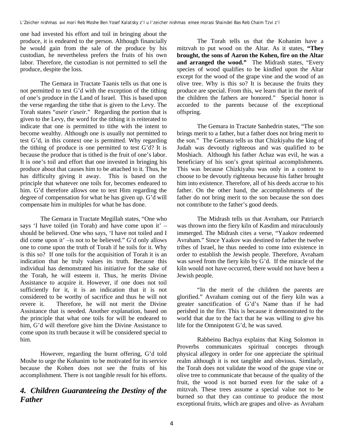one had invested his effort and toil in bringing about the produce, it is endeared to the person. Although financially he would gain from the sale of the produce by his custodian, he nevertheless prefers the fruits of his own labor. Therefore, the custodian is not permitted to sell the produce, despite the loss.

The Gemara in Tractate Taanis tells us that one is not permitted to test G'd with the exception of the tithing of one's produce in the Land of Israel. This is based upon the verse regarding the tithe that is given to the Levy. The Torah states "*aseir t'aseir.*" Regarding the portion that is given to the Levy, the word for the tithing it is reiterated to indicate that one is permitted to tithe with the intent to become wealthy. Although one is usually not permitted to test G'd, in this context one is permitted. Why regarding the tithing of produce is one permitted to test G'd? It is because the produce that is tithed is the fruit of one's labor. It is one's toil and effort that one invested in bringing his produce about that causes him to be attached to it. Thus, he has difficulty giving it away. This is based on the principle that whatever one toils for, becomes endeared to him. G'd therefore allows one to test Him regarding the degree of compensation for what he has given up. G'd will compensate him in multiples for what he has done.

The Gemara in Tractate Megillah states, "One who says 'I have toiled (in Torah) and have come upon it' – should be believed. One who says, 'I have not toiled and I did come upon it' –is not to be believed." G'd only allows one to come upon the truth of Torah if he toils for it. Why is this so? If one toils for the acquisition of Torah it is an indication that he truly values its truth. Because this individual has demonstrated his initiative for the sake of the Torah, he will esteem it. Thus, he merits Divine Assistance to acquire it. However, if one does not toil sufficiently for it, it is an indication that it is not considered to be worthy of sacrifice and thus he will not revere it. Therefore, he will not merit the Divine Assistance that is needed. Another explanation, based on the principle that what one toils for will be endeared to him, G'd will therefore give him the Divine Assistance to come upon its truth because it will be considered special to him.

However, regarding the burnt offering, G'd told Moshe to urge the Kohanim to be motivated for its service because the Kohen does not see the fruits of his accomplishment. There is not tangible result for his efforts.

#### *4. Children Guaranteeing the Destiny of the Father*

The Torah tells us that the Kohanim have a mitzvah to put wood on the Altar. As it states, **"They brought, the sons of Aaron the Kohen, fire on the Altar and arranged the wood."** The Midrash states, "Every species of wood qualifies to be kindled upon the Altar except for the wood of the grape vine and the wood of an olive tree. Why is this so? It is because the fruits they produce are special. From this, we learn that in the merit of the children the fathers are honored." Special honor is accorded to the parents because of the exceptional offspring.

The Gemara in Tractate Sanhedrin states, "The son brings merit to a father, but a father does not bring merit to the son." The Gemara tells us that Chizkiyahu the king of Judah was devoutly righteous and was qualified to be Moshiach. Although his father Achaz was evil, he was a beneficiary of his son's great spiritual accomplishments. This was because Chizkiyahu was only in a context to choose to be devoutly righteous because his father brought him into existence. Therefore, all of his deeds accrue to his father. On the other hand, the accomplishments of the father do not bring merit to the son because the son does not contribute to the father's good deeds.

The Midrash tells us that Avraham, our Patriarch was thrown into the fiery kiln of Kasdim and miraculously immerged. The Midrash cites a verse, "Yaakov redeemed Avraham." Since Yaakov was destined to father the twelve tribes of Israel, he thus needed to come into existence in order to establish the Jewish people. Therefore, Avraham was saved from the fiery kiln by G'd. If the miracle of the kiln would not have occurred, there would not have been a Jewish people.

"In the merit of the children the parents are glorified." Avraham coming out of the fiery kiln was a greater sanctification of G'd's Name than if he had perished in the fire. This is because it demonstrated to the world that due to the fact that he was willing to give his life for the Omnipotent G'd, he was saved.

Rabbeinu Bachya explains that King Solomon in Proverbs communicates spiritual concepts through physical allegory in order for one appreciate the spiritual realm although it is not tangible and obvious. Similarly, the Torah does not validate the wood of the grape vine or olive tree to communicate that because of the quality of the fruit, the wood is not burned even for the sake of a mitzvah. These trees assume a special value not to be burned so that they can continue to produce the most exceptional fruits, which are grapes and olive- as Avraham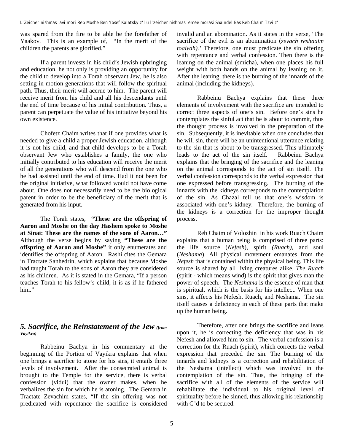was spared from the fire to be able be the forefather of Yaakov. This is an example of, "In the merit of the children the parents are glorified."

If a parent invests in his child's Jewish upbringing and education, he not only is providing an opportunity for the child to develop into a Torah observant Jew, he is also setting in motion generations that will follow the spiritual path. Thus, their merit will accrue to him. The parent will receive merit from his child and all his descendants until the end of time because of his initial contribution. Thus, a parent can perpetuate the value of his initiative beyond his own existence.

Chofetz Chaim writes that if one provides what is needed to give a child a proper Jewish education, although it is not his child, and that child develops to be a Torah observant Jew who establishes a family, the one who initially contributed to his education will receive the merit of all the generations who will descend from the one who he had assisted until the end of time. Had it not been for the original initiative, what followed would not have come about. One does not necessarily need to be the biological parent in order to be the beneficiary of the merit that is generated from his input.

The Torah states, **"These are the offspring of Aaron and Moshe on the day Hashem spoke to Moshe at Sinai: These are the names of the sons of Aaron…"** Although the verse begins by saying **"These are the offspring of Aaron and Moshe"** it only enumerates and identifies the offspring of Aaron. Rashi cites the Gemara in Tractate Sanhedrin, which explains that because Moshe had taught Torah to the sons of Aaron they are considered as his children. As it is stated in the Gemara, "If a person teaches Torah to his fellow's child, it is as if he fathered him."

#### *5. Sacrifice, the Reinstatement of the Jew (from Vayikra)*

Rabbeinu Bachya in his commentary at the beginning of the Portion of Vayikra explains that when one brings a sacrifice to atone for his sins, it entails three levels of involvement. After the consecrated animal is brought to the Temple for the service, there is verbal confession (vidui) that the owner makes, when he verbalizes the sin for which he is atoning. The Gemara in Tractate Zevachim states, "If the sin offering was not predicated with repentance the sacrifice is considered invalid and an abomination. As it states in the verse, 'The sacrifice of the evil is an abomination (*zevach reshaaim toaivah).'* Therefore, one must predicate the sin offering with repentance and verbal confession. Then there is the leaning on the animal (smicha), when one places his full weight with both hands on the animal by leaning on it. After the leaning, there is the burning of the innards of the animal (including the kidneys).

Rabbeinu Bachya explains that these three elements of involvement with the sacrifice are intended to correct three aspects of one's sin. Before one's sins he contemplates the sinful act that he is about to commit, thus the thought process is involved in the preparation of the sin. Subsequently, it is inevitable when one concludes that he will sin, there will be an unintentional utterance relating to the sin that is about to be transgressed. This ultimately leads to the act of the sin itself. Rabbeinu Bachya explains that the bringing of the sacrifice and the leaning on the animal corresponds to the act of sin itself. The verbal confession corresponds to the verbal expression that one expressed before transgressing. The burning of the innards with the kidneys corresponds to the contemplation of the sin. As Chazal tell us that one's wisdom is associated with one's kidney. Therefore, the burning of the kidneys is a correction for the improper thought process.

Reb Chaim of Volozhin in his work Ruach Chaim explains that a human being is comprised of three parts: the life source (*Nefesh*), spirit *(Ruach)*, and soul (*Neshama*). All physical movement emanates from the *Nefesh* that is contained within the physical being. This life source is shared by all living creatures alike. *The Ruach* (spirit - which means wind) is the spirit that gives man the power of speech. The *Neshama* is the essence of man that is spiritual, which is the basis for his intellect. When one sins, it affects his Nefesh, Ruach, and Neshama. The sin itself causes a deficiency in each of these parts that make up the human being.

Therefore, after one brings the sacrifice and leans upon it, he is correcting the deficiency that was in his Nefesh and allowed him to sin. The verbal confession is a correction for the Ruach (spirit), which corrects the verbal expression that preceded the sin. The burning of the innards and kidneys is a correction and rehabilitation of the Neshama (intellect) which was involved in the contemplation of the sin. Thus, the bringing of the sacrifice with all of the elements of the service will rehabilitate the individual to his original level of spirituality before he sinned, thus allowing his relationship with G'd to be secured.